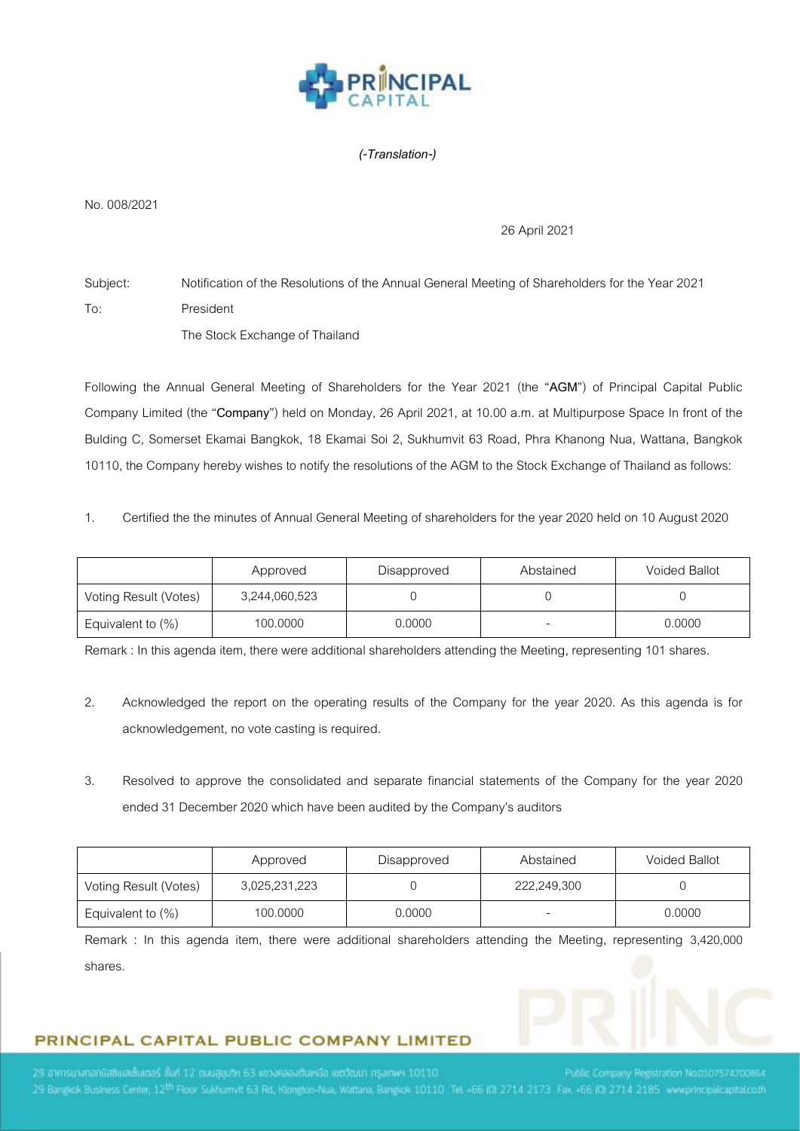

#### *(-Translation-)*

No. 008/2021

#### 26 April2021

Subject: Notification of the Resolutions of the Annual General Meeting of Shareholders for the Year 2021 To: President The Stock Exchange of Thailand

Following the Annual General Meeting of Shareholders for the Year 2021 (the "**AGM**") of Principal Capital Public Company Limited (the "**Company**") held on Monday, 26 April 2021, at 10.00 a.m. at Multipurpose Space In front of the Bulding C, Somerset Ekamai Bangkok, 18 Ekamai Soi 2, Sukhumvit 63 Road, Phra Khanong Nua, Wattana, Bangkok 10110, the Company hereby wishes to notify the resolutions of the AGM to the Stock Exchange of Thailand as follows:

1. Certified the the minutes of Annual General Meeting of shareholders for the year 2020 held on 10 August 2020

|                       | Approved      | Disapproved | Abstained | <b>Voided Ballot</b> |
|-----------------------|---------------|-------------|-----------|----------------------|
| Voting Result (Votes) | 3,244,060,523 |             |           |                      |
| Equivalent to $(\%)$  | 100,0000      | 0.0000      |           | 0.0000               |

Remark : In this agenda item, there were additional shareholders attending the Meeting, representing 101 shares.

- 2. Acknowledged the report on the operating results of the Company for the year 2020. As this agenda is for acknowledgement, no vote casting is required.
- 3. Resolved to approve the consolidated and separate financial statements of the Company for the year 2020 ended 31 December 2020 which have been audited by the Company's auditors

|                       | Approved      | Disapproved | Abstained   | <b>Voided Ballot</b> |
|-----------------------|---------------|-------------|-------------|----------------------|
| Voting Result (Votes) | 3,025,231,223 |             | 222,249,300 |                      |
| Equivalent to (%)     | 100,0000      | 0.0000      |             | 0.0000               |

Remark : In this agenda item, there were additional shareholders attending the Meeting, representing 3,420,000 shares.

# PRINCIPAL CAPITAL PUBLIC COMPANY LIMITED

29 อาคารนางกอกมิสติและอันเตอร์ ซึ่นที่ 12 ตนนสมุนวิท 63 แขวงคลองต้นเหมือ เขตวัฒนา กรุงเทพฯ 10110 29 Bangkok Business Center, 12<sup>th</sup> Floor Sukhumvit 63 Rd, Klongton-Nua, Wattana, Bangkok 10110 Tel. +66 (0) 2714 2173 Fax, +66 (0) 2714 2185 www.principalcapitationh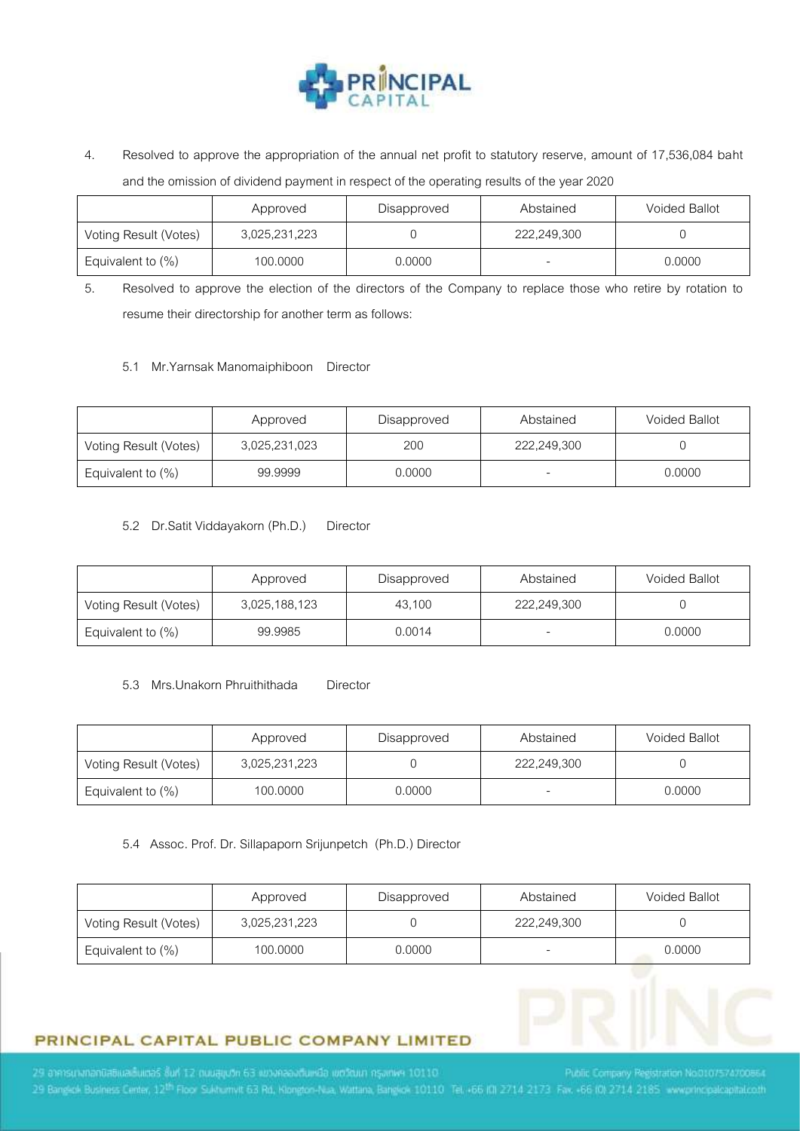

4. Resolved to approve the appropriation of the annual net profit to statutory reserve, amount of 17,536,084 baht and the omission of dividend payment in respect of the operating results of the year 2020

|                       | Approved      | Disapproved | Abstained   | <b>Voided Ballot</b> |
|-----------------------|---------------|-------------|-------------|----------------------|
| Voting Result (Votes) | 3,025,231,223 |             | 222,249,300 |                      |
| Equivalent to $(\%)$  | 100,0000      | 0.0000      |             | 0.0000               |

5. Resolved to approve the election of the directors of the Company to replace those who retire by rotation to resume their directorship for another term as follows:

5.1 Mr.Yarnsak Manomaiphiboon Director

|                       | Approved      | Disapproved | Abstained   | <b>Voided Ballot</b> |
|-----------------------|---------------|-------------|-------------|----------------------|
| Voting Result (Votes) | 3,025,231,023 | 200         | 222,249,300 |                      |
| Equivalent to (%)     | 99.9999       | 0.0000      |             | 0.0000               |

5.2 Dr.Satit Viddayakorn (Ph.D.) Director

|                       | Approved      | Disapproved | Abstained   | <b>Voided Ballot</b> |
|-----------------------|---------------|-------------|-------------|----------------------|
| Voting Result (Votes) | 3,025,188,123 | 43.100      | 222,249,300 |                      |
| Equivalent to $(\%)$  | 99.9985       | 0.0014      |             | 0.0000               |

#### 5.3 Mrs.Unakorn Phruithithada Director

|                       | Approved      | Disapproved | Abstained                | <b>Voided Ballot</b> |
|-----------------------|---------------|-------------|--------------------------|----------------------|
| Voting Result (Votes) | 3,025,231,223 |             | 222,249,300              |                      |
| Equivalent to (%)     | 100,0000      | 0.0000      | $\overline{\phantom{0}}$ | 0.0000               |

5.4 Assoc. Prof. Dr. Sillapaporn Srijunpetch (Ph.D.) Director

|                       | Approved      | Disapproved | Abstained   | <b>Voided Ballot</b> |
|-----------------------|---------------|-------------|-------------|----------------------|
| Voting Result (Votes) | 3,025,231,223 |             | 222,249,300 |                      |
| Equivalent to (%)     | 100.0000      | 0.0000      | -           | 0.0000               |



29 Bangkok Business Center, 12<sup>th</sup> Floor Sukhumvit 63 Rd, Klongton-Nua, Wattana, Bangkok 10110 Tel. +66 (0) 2714 2173 Fax. +66 (0) 2714 2185 www.principalcapitationth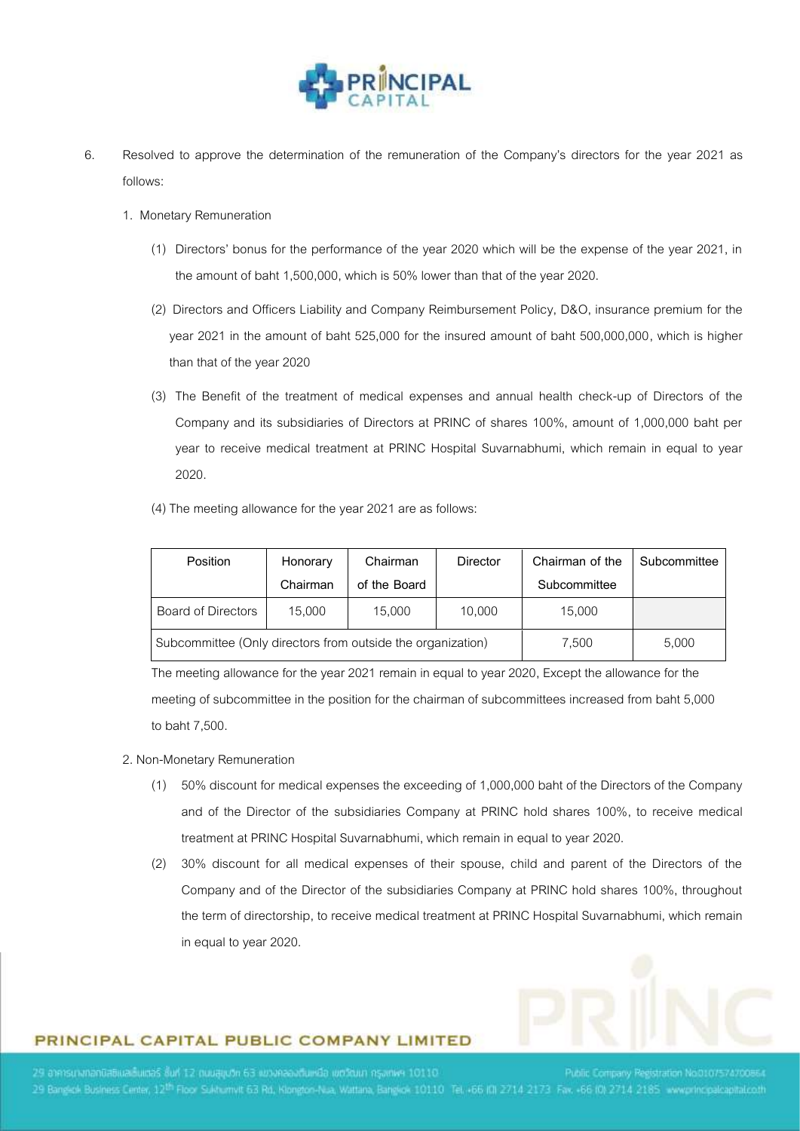

- 6. Resolved to approve the determination of the remuneration of the Company's directors for the year 2021 as follows:
	- 1. Monetary Remuneration
		- (1) Directors' bonus for the performance of the year 2020 which will be the expense of the year 2021, in the amount of baht 1,500,000, which is 50% lower than that of the year 2020.
		- (2) Directors and Officers Liability and Company Reimbursement Policy, D&O, insurance premium for the year 2021 in the amount of baht 525,000 for the insured amount of baht 500,000,000, which is higher than that of the year 2020
		- (3) The Benefit of the treatment of medical expenses and annual health check-up of Directors of the Company and its subsidiaries of Directors at PRINC of shares 100%, amount of 1,000,000 baht per year to receive medical treatment at PRINC Hospital Suvarnabhumi, which remain in equal to year 2020.
		- (4) The meeting allowance for the year 2021 are as follows:

| Position                                                    | Honorary | Chairman     | <b>Director</b> | Chairman of the | Subcommittee |
|-------------------------------------------------------------|----------|--------------|-----------------|-----------------|--------------|
|                                                             | Chairman | of the Board |                 | Subcommittee    |              |
| Board of Directors                                          | 15,000   | 15,000       | 10,000          | 15,000          |              |
| Subcommittee (Only directors from outside the organization) |          |              |                 | 7.500           | 5,000        |

The meeting allowance for the year 2021 remain in equal to year 2020, Except the allowance for the meeting of subcommittee in the position for the chairman of subcommittees increased from baht 5,000 to baht 7,500.

#### 2. Non-Monetary Remuneration

- (1) 50% discount for medical expenses the exceeding of 1,000,000 baht of the Directors of the Company and of the Director of the subsidiaries Company at PRINC hold shares 100%, to receive medical treatment at PRINC Hospital Suvarnabhumi, which remain in equal to year 2020.
- (2) 30% discount for all medical expenses of their spouse, child and parent of the Directors of the Company and of the Director of the subsidiaries Company at PRINC hold shares 100%, throughout the term of directorship, to receive medical treatment at PRINC Hospital Suvarnabhumi, which remain in equal to year 2020.



# PRINCIPAL CAPITAL PUBLIC COMPANY LIMITED

29 อาคารนางกอกมิสติและอันเตอร์ ซึ่นที่ 12 ตนนสมุนวิท 63 แขวงคลองต้นเหมือ เขตวัฒนา กรุงเทพฯ 10110 29 Bangkok Business Center, 12<sup>th</sup> Floor Sukhumvit 63 Rd, Klongton-Nua, Wattana, Bangkok 10110 Tel. +66 (0) 2714 2173 Fax, +66 (0) 2714 2185 www.principalcapitationh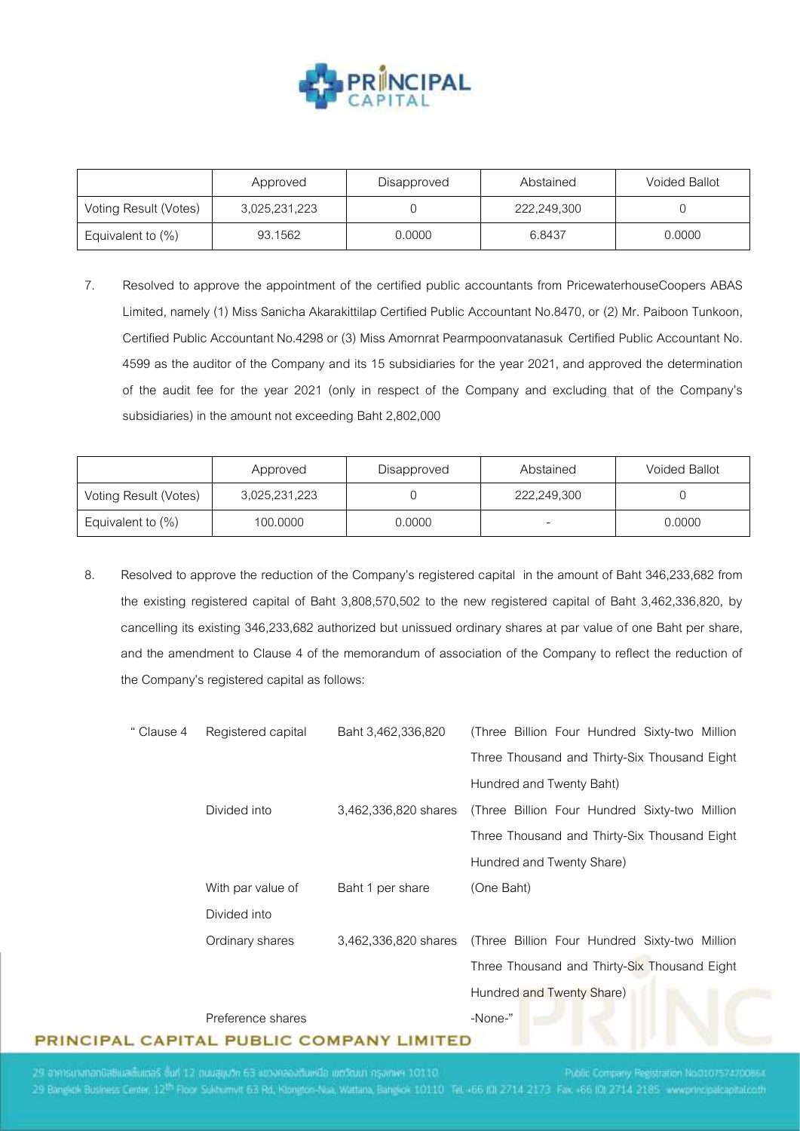

|                       | Approved      | Disapproved | Abstained   | <b>Voided Ballot</b> |
|-----------------------|---------------|-------------|-------------|----------------------|
| Voting Result (Votes) | 3,025,231,223 |             | 222,249,300 |                      |
| Equivalent to $(\%)$  | 93.1562       | 0.0000      | 6.8437      | 0.0000               |

7. Resolved to approve the appointment of the certified public accountants from PricewaterhouseCoopers ABAS Limited, namely (1) Miss Sanicha Akarakittilap Certified Public Accountant No.8470, or (2) Mr. Paiboon Tunkoon, Certified Public Accountant No.4298 or (3) Miss Amornrat Pearmpoonvatanasuk Certified Public Accountant No. 4599 as the auditor of the Company and its 15 subsidiaries for the year 2021, and approved the determination of the audit fee for the year 2021 (only in respect of the Company and excluding that of the Company's subsidiaries) in the amount not exceeding Baht 2,802,000

|                       | Approved      | Disapproved | Abstained                | <b>Voided Ballot</b> |
|-----------------------|---------------|-------------|--------------------------|----------------------|
| Voting Result (Votes) | 3,025,231,223 |             | 222,249,300              |                      |
| Equivalent to (%)     | 100,0000      | 0.0000      | $\overline{\phantom{0}}$ | 0.0000               |

8. Resolved to approve the reduction of the Company's registered capital in the amount of Baht 346,233,682 from the existing registered capital of Baht 3,808,570,502 to the new registered capital of Baht 3,462,336,820, by cancelling its existing 346,233,682 authorized but unissued ordinary shares at par value of one Baht per share, and the amendment to Clause 4 of the memorandum of association of the Company to reflect the reduction of the Company's registered capital as follows:

| " Clause 4 | Registered capital | Baht 3,462,336,820   | (Three Billion Four Hundred Sixty-two Million |
|------------|--------------------|----------------------|-----------------------------------------------|
|            |                    |                      | Three Thousand and Thirty-Six Thousand Eight  |
|            |                    |                      | Hundred and Twenty Baht)                      |
|            | Divided into       | 3,462,336,820 shares | (Three Billion Four Hundred Sixty-two Million |
|            |                    |                      | Three Thousand and Thirty-Six Thousand Eight  |
|            |                    |                      | Hundred and Twenty Share)                     |
|            | With par value of  | Baht 1 per share     | (One Baht)                                    |
|            | Divided into       |                      |                                               |
|            | Ordinary shares    | 3,462,336,820 shares | (Three Billion Four Hundred Sixty-two Million |
|            |                    |                      | Three Thousand and Thirty-Six Thousand Eight  |
|            |                    |                      | Hundred and Twenty Share)                     |
|            | Preference shares  |                      | -None-"                                       |

PRINCIPAL CAPITAL PUBLIC COMPANY LIMITED

29 อาคารนางกอกมิสติและอันแต่อริ ซึ่นที่ 12 ตนนสูญปก 63 แขวงคลองตืนเหนือ เขตวัฒนา กรุงเทพฯ 10110 29 Bangligh Business Center, 12<sup>th</sup> Floor Sukhumvit 63 Rd, Klongton-Nua, Wattana, Bangligk 10110 Tel. +66 (0) 2714 2173 Fax, +66 (0) 2714 2185 www.principalcapital.co.th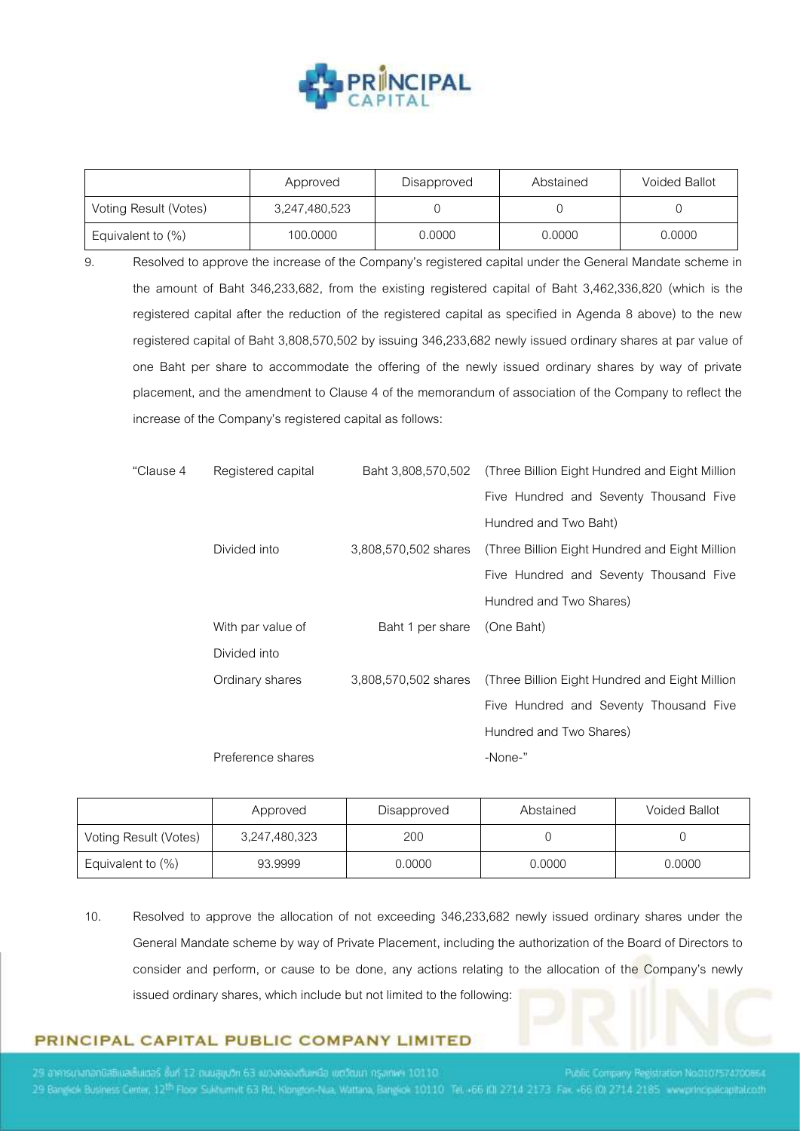

|                       | Approved      | Disapproved | Abstained | <b>Voided Ballot</b> |
|-----------------------|---------------|-------------|-----------|----------------------|
| Voting Result (Votes) | 3,247,480,523 |             |           |                      |
| Equivalent to $(\%)$  | 100.0000      | 0.0000      | 0.0000    | 0.0000               |

9. Resolved to approve the increase of the Company's registered capital under the General Mandate scheme in the amount of Baht 346,233,682, from the existing registered capital of Baht 3,462,336,820 (which is the registered capital after the reduction of the registered capital as specified in Agenda 8 above) to the new registered capital of Baht 3,808,570,502 by issuing 346,233,682 newly issued ordinary shares at par value of one Baht per share to accommodate the offering of the newly issued ordinary shares by way of private placement, and the amendment to Clause 4 of the memorandum of association of the Company to reflect the increase of the Company's registered capital as follows:

| "Clause 4 | Registered capital | Baht 3,808,570,502   | (Three Billion Eight Hundred and Eight Million) |  |
|-----------|--------------------|----------------------|-------------------------------------------------|--|
|           |                    |                      | Five Hundred and Seventy Thousand Five          |  |
|           |                    |                      | Hundred and Two Baht)                           |  |
|           | Divided into       | 3,808,570,502 shares | (Three Billion Eight Hundred and Eight Million) |  |
|           |                    |                      | Five Hundred and Seventy Thousand Five          |  |
|           |                    |                      | Hundred and Two Shares)                         |  |
|           | With par value of  | Baht 1 per share     | (One Baht)                                      |  |
|           | Divided into       |                      |                                                 |  |
|           | Ordinary shares    | 3,808,570,502 shares | (Three Billion Eight Hundred and Eight Million  |  |
|           |                    |                      | Five Hundred and Seventy Thousand Five          |  |
|           |                    |                      | Hundred and Two Shares)                         |  |
|           | Preference shares  |                      | -None-"                                         |  |
|           |                    |                      |                                                 |  |

|                       | Approved      | Disapproved | Abstained | <b>Voided Ballot</b> |
|-----------------------|---------------|-------------|-----------|----------------------|
| Voting Result (Votes) | 3,247,480,323 | 200         |           |                      |
| Equivalent to $(\%)$  | 93.9999       | 0.0000      | 0.0000    | 0.0000               |

10. Resolved to approve the allocation of not exceeding 346,233,682 newly issued ordinary shares under the General Mandate scheme by way of Private Placement, including the authorization of the Board of Directors to consider and perform, or cause to be done, any actions relating to the allocation of the Company's newly issued ordinary shares, which include but not limited to the following:

# PRINCIPAL CAPITAL PUBLIC COMPANY LIMITED

29 อาคารนางกอกมิสติเนลเร็นแต่อริ ซึ่นที่ 12 ตนนสูญปก 63 แขวงคลองต้นเหมือ เขตวัฒนา กรุงเทพฯ 10110 29 Bangligh Business Center, 12<sup>th</sup> Floor Sukhumvit 63 Rd, Klongton-Nua, Wattana, Bangligk 10110 Tel. +66 (0) 2714 2173 Fax, +66 (0) 2714 2185 www.principalcapital.co.th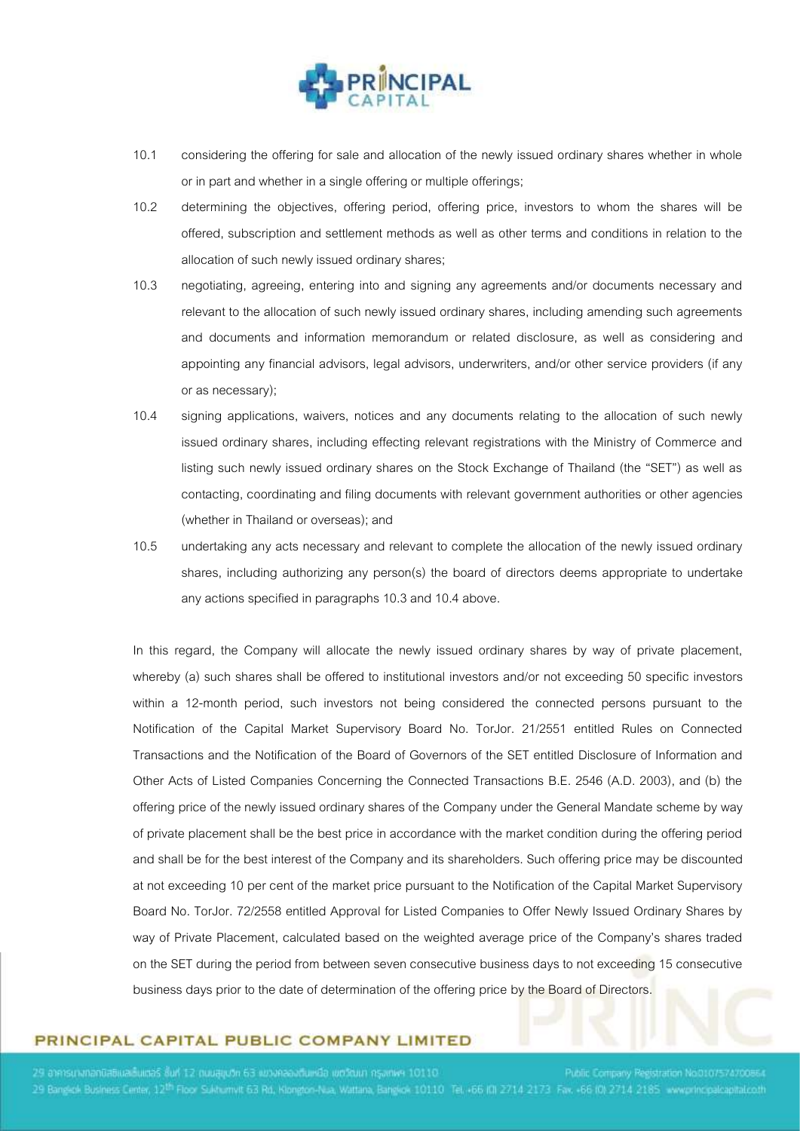

- 10.1 considering the offering for sale and allocation of the newly issued ordinary shares whether in whole or in part and whether in a single offering or multiple offerings;
- 10.2 determining the objectives, offering period, offering price, investors to whom the shares will be offered, subscription and settlement methods as well as other terms and conditions in relation to the allocation of such newly issued ordinary shares;
- 10.3 negotiating, agreeing, entering into and signing any agreements and/or documents necessary and relevant to the allocation of such newly issued ordinary shares, including amending such agreements and documents and information memorandum or related disclosure, as well as considering and appointing any financial advisors, legal advisors, underwriters, and/or other service providers (if any or as necessary);
- 10.4 signing applications, waivers, notices and any documents relating to the allocation of such newly issued ordinary shares, including effecting relevant registrations with the Ministry of Commerce and listing such newly issued ordinary shares on the Stock Exchange of Thailand (the "SET") as well as contacting, coordinating and filing documents with relevant government authorities or other agencies (whether in Thailand or overseas); and
- 10.5 undertaking any acts necessary and relevant to complete the allocation of the newly issued ordinary shares, including authorizing any person(s) the board of directors deems appropriate to undertake any actions specified in paragraphs 10.3 and 10.4 above.

In this regard, the Company will allocate the newly issued ordinary shares by way of private placement, whereby (a) such shares shall be offered to institutional investors and/or not exceeding 50 specific investors within a 12-month period, such investors not being considered the connected persons pursuant to the Notification of the Capital Market Supervisory Board No. TorJor. 21/2551 entitled Rules on Connected Transactions and the Notification of the Board of Governors of the SET entitled Disclosure of Information and Other Acts of Listed Companies Concerning the Connected Transactions B.E. 2546 (A.D. 2003), and (b) the offering price of the newly issued ordinary shares of the Company under the General Mandate scheme by way of private placement shall be the best price in accordance with the market condition during the offering period and shall be for the best interest of the Company and its shareholders. Such offering price may be discounted at not exceeding 10 per cent of the market price pursuant to the Notification of the Capital Market Supervisory Board No. TorJor. 72/2558 entitled Approval for Listed Companies to Offer Newly Issued Ordinary Shares by way of Private Placement, calculated based on the weighted average price of the Company's shares traded on the SET during the period from between seven consecutive business days to not exceeding 15 consecutive business days prior to the date of determination of the offering price by the Board of Directors.

### PRINCIPAL CAPITAL PUBLIC COMPANY LIMITED